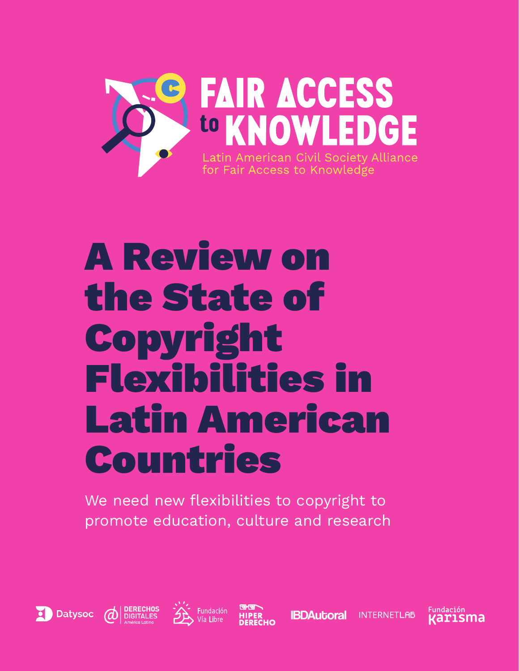

We need new flexibilities to copyright to promote education, culture and research









**IBDAutoral** 

**INTERNETLAB** 

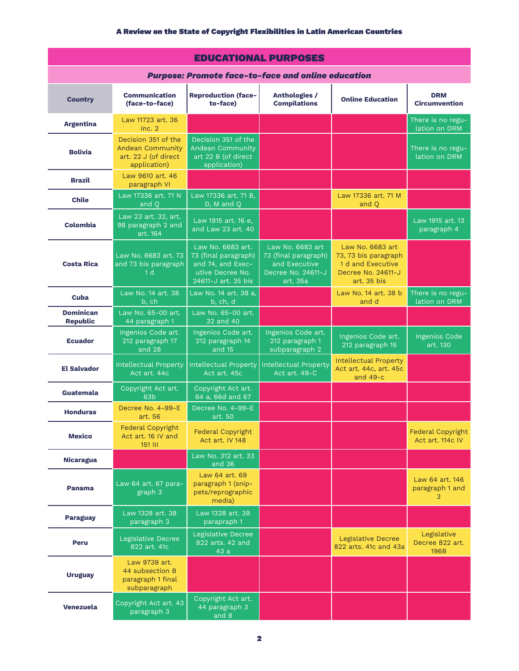| <b>EDUCATIONAL PURPOSES</b>                               |                                                                                        |                                                                                                           |                                                                                             |                                                                                                    |                                                    |  |  |  |  |  |
|-----------------------------------------------------------|----------------------------------------------------------------------------------------|-----------------------------------------------------------------------------------------------------------|---------------------------------------------------------------------------------------------|----------------------------------------------------------------------------------------------------|----------------------------------------------------|--|--|--|--|--|
| <b>Purpose: Promote face-to-face and online education</b> |                                                                                        |                                                                                                           |                                                                                             |                                                                                                    |                                                    |  |  |  |  |  |
| <b>Country</b>                                            | <b>Communication</b><br>(face-to-face)                                                 | <b>Reproduction (face-</b><br>to-face)                                                                    | <b>Anthologies /</b><br><b>Compilations</b>                                                 | <b>Online Education</b>                                                                            | <b>DRM</b><br><b>Circumvention</b>                 |  |  |  |  |  |
| <b>Argentina</b>                                          | Law 11723 art, 36<br>inc. 2                                                            |                                                                                                           |                                                                                             |                                                                                                    | There is no regu-<br>lation on DRM                 |  |  |  |  |  |
| <b>Bolivia</b>                                            | Decision 351 of the<br><b>Andean Community</b><br>art. 22 J (of direct<br>application) | Decision 351 of the<br><b>Andean Community</b><br>art 22 B (of direct<br>application)                     |                                                                                             |                                                                                                    | There is no regu-<br>lation on DRM                 |  |  |  |  |  |
| <b>Brazil</b>                                             | Law 9610 art. 46<br>paragraph VI                                                       |                                                                                                           |                                                                                             |                                                                                                    |                                                    |  |  |  |  |  |
| <b>Chile</b>                                              | Law 17336 art, 71 N<br>and O                                                           | Law 17336 art. 71 B.<br>D, M and Q                                                                        |                                                                                             | Law 17336 art. 71 M<br>and O                                                                       |                                                    |  |  |  |  |  |
| Colombia                                                  | Law 23 art. 32, art.<br>98 paragraph 2 and<br>art. 164                                 | Law 1915 art. 16 e,<br>and Law 23 art. 40                                                                 |                                                                                             |                                                                                                    | Law 1915 art. 13<br>paragraph 4                    |  |  |  |  |  |
| <b>Costa Rica</b>                                         | Law No. 6683 art. 73<br>and 73 bis paragraph<br>1 <sub>d</sub>                         | Law No. 6683 art.<br>73 (final paragraph)<br>and 74, and Exec-<br>utive Decree No.<br>24611-J art. 35 bis | Law No. 6683 art<br>73 (final paragraph)<br>and Executive<br>Decree No. 24611-J<br>art. 35a | Law No. 6683 art<br>73, 73 bis paragraph<br>1 d and Executive<br>Decree No. 24611-J<br>art. 35 bis |                                                    |  |  |  |  |  |
| Cuba                                                      | Law No. 14 art. 38<br>b, ch                                                            | Law No. 14 art. 38 a.<br>b, ch, d                                                                         |                                                                                             | Law No. 14 art. 38 b<br>and d                                                                      | There is no regu-<br>lation on DRM                 |  |  |  |  |  |
| <b>Dominican</b><br><b>Republic</b>                       | Law No. 65-00 art.<br>44 paragraph 1                                                   | Law No. 65-00 art.<br>32 and 40                                                                           |                                                                                             |                                                                                                    |                                                    |  |  |  |  |  |
| <b>Ecuador</b>                                            | Ingenios Code art.<br>212 paragraph 17<br>and 28                                       | Ingenios Code art.<br>212 paragraph 14<br>and 15                                                          | Ingenios Code art.<br>212 paragraph 1<br>subparagraph 2                                     | Ingenios Code art.<br>212 paragraph 15                                                             | <b>Ingenios Code</b><br>art. 130                   |  |  |  |  |  |
| <b>El Salvador</b>                                        | <b>Intellectual Property</b><br>Act art. 44c                                           | Intellectual Property<br>Act art. 45c                                                                     | <b>Intellectual Property</b><br>Act art. 49-C                                               | <b>Intellectual Property</b><br>Act art. 44c, art. 45c<br>and $49-c$                               |                                                    |  |  |  |  |  |
| Guatemala                                                 | Copyright Act art.<br>63 <sub>b</sub>                                                  | Copyright Act art.<br>64 a, 66d and 67                                                                    |                                                                                             |                                                                                                    |                                                    |  |  |  |  |  |
| <b>Honduras</b>                                           | Decree No. 4-99-E<br>art. 56                                                           | Decree No. 4-99-E<br>art. 50                                                                              |                                                                                             |                                                                                                    |                                                    |  |  |  |  |  |
| <b>Mexico</b>                                             | Federal Copyright<br>Act art. 16 IV and<br>151 III                                     | <b>Federal Copyright</b><br>Act art. IV 148                                                               |                                                                                             |                                                                                                    | <b>Federal Copyright</b><br>Act art. 114c IV       |  |  |  |  |  |
| <b>Nicaragua</b>                                          |                                                                                        | Law No. 312 art. 33<br>and 36                                                                             |                                                                                             |                                                                                                    |                                                    |  |  |  |  |  |
| <b>Panama</b>                                             | Law 64 art. 67 para-<br>graph 3                                                        | Law 64 art. 69<br>paragraph 1 (snip-<br>pets/reprographic<br>media)                                       |                                                                                             |                                                                                                    | Law 64 art. 146<br>paragraph 1 and<br>3            |  |  |  |  |  |
| <b>Paraguay</b>                                           | Law 1328 art. 38<br>paragraph 3                                                        | Law 1328 art. 39<br>parapraph 1                                                                           |                                                                                             |                                                                                                    |                                                    |  |  |  |  |  |
| <b>Peru</b>                                               | Legislative Decree<br>822 art. 41c                                                     | Legislative Decree<br>822 arts. 42 and<br>43a                                                             |                                                                                             | Legislative Decree<br>822 arts, 41c and 43a                                                        | Legislative<br>Decree 822 art.<br>196 <sub>B</sub> |  |  |  |  |  |
| <b>Uruguay</b>                                            | Law 9739 art.<br>44 subsection B<br>paragraph 1 final<br>subparagraph                  |                                                                                                           |                                                                                             |                                                                                                    |                                                    |  |  |  |  |  |
| Venezuela                                                 | Copyright Act art. 43<br>paragraph 3                                                   | Copyright Act art.<br>44 paragraph 3<br>and 8                                                             |                                                                                             |                                                                                                    |                                                    |  |  |  |  |  |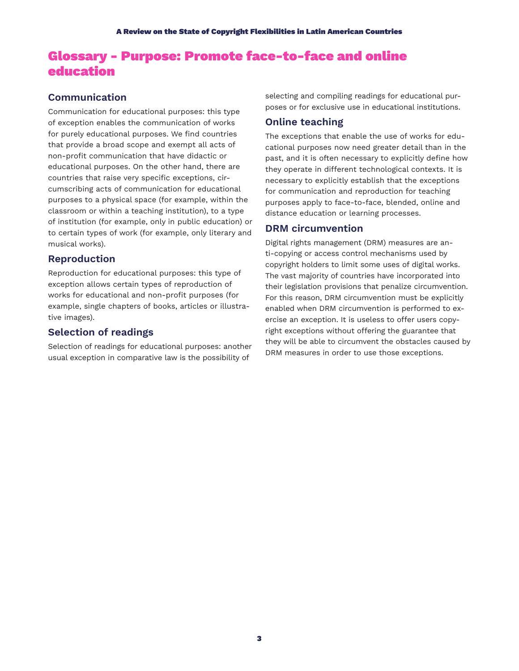# Glossary - Purpose: Promote face-to-face and online education

# **Communication**

Communication for educational purposes: this type of exception enables the communication of works for purely educational purposes. We find countries that provide a broad scope and exempt all acts of non-profit communication that have didactic or educational purposes. On the other hand, there are countries that raise very specific exceptions, circumscribing acts of communication for educational purposes to a physical space (for example, within the classroom or within a teaching institution), to a type of institution (for example, only in public education) or to certain types of work (for example, only literary and musical works).

# **Reproduction**

Reproduction for educational purposes: this type of exception allows certain types of reproduction of works for educational and non-profit purposes (for example, single chapters of books, articles or illustrative images).

# **Selection of readings**

Selection of readings for educational purposes: another usual exception in comparative law is the possibility of

selecting and compiling readings for educational purposes or for exclusive use in educational institutions.

# **Online teaching**

The exceptions that enable the use of works for educational purposes now need greater detail than in the past, and it is often necessary to explicitly define how they operate in different technological contexts. It is necessary to explicitly establish that the exceptions for communication and reproduction for teaching purposes apply to face-to-face, blended, online and distance education or learning processes.

# **DRM circumvention**

Digital rights management (DRM) measures are anti-copying or access control mechanisms used by copyright holders to limit some uses of digital works. The vast majority of countries have incorporated into their legislation provisions that penalize circumvention. For this reason, DRM circumvention must be explicitly enabled when DRM circumvention is performed to exercise an exception. It is useless to offer users copyright exceptions without offering the guarantee that they will be able to circumvent the obstacles caused by DRM measures in order to use those exceptions.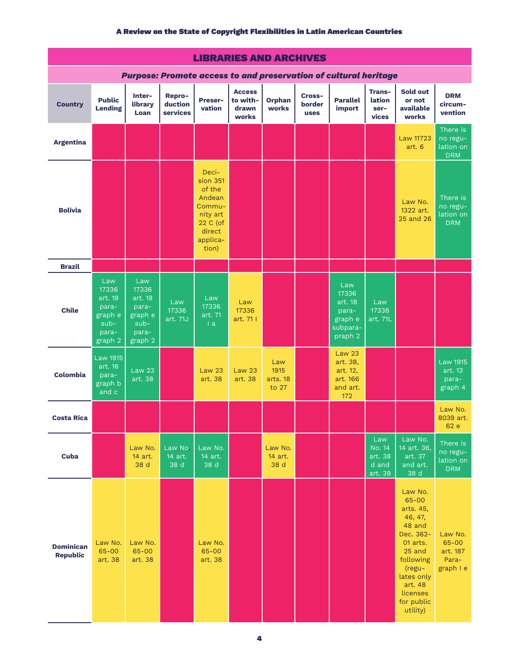| <b>LIBRARIES AND ARCHIVES</b>                                           |                                                                           |                                                                           |                               |                                                                                                        |                                             |                                  |                                 |                                                                      |                                                     |                                                                                                                                                                             |                                                           |
|-------------------------------------------------------------------------|---------------------------------------------------------------------------|---------------------------------------------------------------------------|-------------------------------|--------------------------------------------------------------------------------------------------------|---------------------------------------------|----------------------------------|---------------------------------|----------------------------------------------------------------------|-----------------------------------------------------|-----------------------------------------------------------------------------------------------------------------------------------------------------------------------------|-----------------------------------------------------------|
| <b>Purpose: Promote access to and preservation of cultural heritage</b> |                                                                           |                                                                           |                               |                                                                                                        |                                             |                                  |                                 |                                                                      |                                                     |                                                                                                                                                                             |                                                           |
| <b>Country</b>                                                          | <b>Public</b><br><b>Lending</b>                                           | Inter-<br>library<br>Loan                                                 | Repro-<br>duction<br>services | Preser-<br>vation                                                                                      | <b>Access</b><br>to with-<br>drawn<br>works | <b>Orphan</b><br>works           | Cross-<br>border<br><b>uses</b> | <b>Parallel</b><br>import                                            | Trans-<br>lation<br>ser-<br>vices                   | Sold out<br>or not<br>available<br>works                                                                                                                                    | <b>DRM</b><br>circum-<br>vention                          |
| <b>Argentina</b>                                                        |                                                                           |                                                                           |                               |                                                                                                        |                                             |                                  |                                 |                                                                      |                                                     | Law 11723<br>art. 6                                                                                                                                                         | There is<br>no regu-<br>lation on<br><b>DRM</b>           |
| <b>Bolivia</b>                                                          |                                                                           |                                                                           |                               | Deci-<br>sion 351<br>of the<br>Andean<br>Commu-<br>nity art<br>22 C (of<br>direct<br>applica-<br>tion) |                                             |                                  |                                 |                                                                      |                                                     | Law No.<br>1322 art.<br>25 and 26                                                                                                                                           | There is<br>no regu-<br>lation on<br><b>DRM</b>           |
| <b>Brazil</b>                                                           |                                                                           |                                                                           |                               |                                                                                                        |                                             |                                  |                                 |                                                                      |                                                     |                                                                                                                                                                             |                                                           |
| <b>Chile</b>                                                            | Law<br>17336<br>art. 18<br>para-<br>graph e<br>$sub-$<br>para-<br>graph 2 | Law<br>17336<br>art. 18<br>para-<br>graph e<br>$sub-$<br>para-<br>graph 2 | Law<br>17336<br>art. 71J      | Law<br>17336<br>art. 71<br> a                                                                          | Law<br>17336<br>art. 71                     |                                  |                                 | Law<br>17336<br>art. 18<br>para-<br>graph e<br>subpara-<br>praph 2   | Law<br>17336<br>art. 71L                            |                                                                                                                                                                             |                                                           |
| <b>Colombia</b>                                                         | <b>Law 1915</b><br>art. 16<br>para-<br>graph b<br>and c                   | <b>Law 23</b><br>art. 38                                                  |                               | <b>Law 23</b><br>art. 38                                                                               | <b>Law 23</b><br>art. 38                    | Law<br>1915<br>arts. 18<br>to 27 |                                 | <b>Law 23</b><br>art. 38,<br>art. 12,<br>art. 166<br>and art.<br>172 |                                                     |                                                                                                                                                                             | <b>Law 1915</b><br>art. 13<br>para-<br>graph <sub>4</sub> |
| <b>Costa Rica</b>                                                       |                                                                           |                                                                           |                               |                                                                                                        |                                             |                                  |                                 |                                                                      |                                                     |                                                                                                                                                                             | Law No.<br>8039 art.<br>62 e                              |
| Cuba                                                                    |                                                                           | Law No.<br>14 art.<br>38 d                                                | Law No.<br>14 art.<br>38 d    | Law No.<br>14 art.<br>38 d                                                                             |                                             | Law No.<br>14 art.<br>38 d       |                                 |                                                                      | Law<br><b>No. 14</b><br>art. 38<br>d and<br>art. 39 | Law No.<br>14 art. 36,<br>art. 37<br>and art.<br>38 d                                                                                                                       | There is<br>no regu-<br>lation on<br><b>DRM</b>           |
| <b>Dominican</b><br><b>Republic</b>                                     | Law No.<br>65-00<br>art. 38                                               | Law No.<br>65-00<br>art. 38                                               |                               | Law No.<br>65-00<br>art. 38                                                                            |                                             |                                  |                                 |                                                                      |                                                     | Law No.<br>65-00<br>arts. 45,<br>46, 47,<br>48 and<br>Dec. 362-<br>01 arts.<br>25 and<br>following<br>(regu-<br>lates only<br>art. 48<br>licenses<br>for public<br>utility) | Law No.<br>$65 - 00$<br>art. 187<br>Para-<br>graph I e    |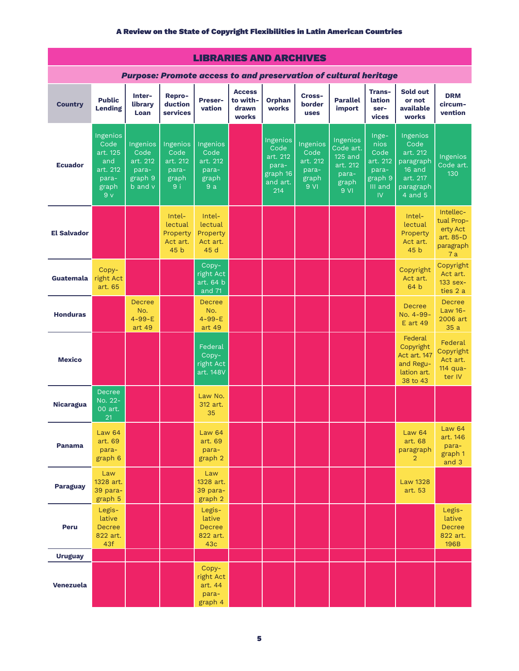| <b>LIBRARIES AND ARCHIVES</b>                                           |                                                                                     |                                                             |                                                                  |                                                                  |                                             |                                                                      |                                                        |                                                                          |                                                                        |                                                                                             |                                                                     |
|-------------------------------------------------------------------------|-------------------------------------------------------------------------------------|-------------------------------------------------------------|------------------------------------------------------------------|------------------------------------------------------------------|---------------------------------------------|----------------------------------------------------------------------|--------------------------------------------------------|--------------------------------------------------------------------------|------------------------------------------------------------------------|---------------------------------------------------------------------------------------------|---------------------------------------------------------------------|
| <b>Purpose: Promote access to and preservation of cultural heritage</b> |                                                                                     |                                                             |                                                                  |                                                                  |                                             |                                                                      |                                                        |                                                                          |                                                                        |                                                                                             |                                                                     |
| <b>Country</b>                                                          | <b>Public</b><br><b>Lending</b>                                                     | Inter-<br>library<br>Loan                                   | Repro-<br>duction<br>services                                    | <b>Preser-</b><br>vation                                         | <b>Access</b><br>to with-<br>drawn<br>works | <b>Orphan</b><br>works                                               | Cross-<br>border<br><b>uses</b>                        | <b>Parallel</b><br>import                                                | Trans-<br>lation<br>ser-<br>vices                                      | Sold out<br>or not<br>available<br>works                                                    | <b>DRM</b><br>circum-<br>vention                                    |
| <b>Ecuador</b>                                                          | Ingenios<br>Code<br>art. 125<br>and<br>art. 212<br>para-<br>graph<br>9 <sub>v</sub> | Ingenios<br>Code<br>art. 212<br>para-<br>graph 9<br>b and v | Ingenios<br>Code<br>art. 212<br>para-<br>graph<br>9 <sub>i</sub> | Ingenios<br>Code<br>art. 212<br>para-<br>graph<br>9a             |                                             | Ingenios<br>Code<br>art. 212<br>para-<br>graph 16<br>and art.<br>214 | Ingenios<br>Code<br>art. 212<br>para-<br>graph<br>9 Vl | Ingenios<br>Code art.<br>125 and<br>art. 212<br>para-<br>graph<br>$9$ VI | Inge-<br>nios<br>Code<br>art. 212<br>para-<br>graph 9<br>III and<br>IV | Ingenios<br>Code<br>art. 212<br>paragraph<br>16 and<br>art. 217<br>paragraph<br>$4$ and $5$ | Ingenios<br>Code art.<br>130                                        |
| <b>El Salvador</b>                                                      |                                                                                     |                                                             | $Intel-$<br>lectual<br>Property<br>Act art.<br>45 <sub>b</sub>   | Intel-<br>lectual<br>Property<br>Act art.<br>45 d                |                                             |                                                                      |                                                        |                                                                          |                                                                        | Intel-<br>lectual<br>Property<br>Act art.<br>45 <sub>b</sub>                                | Intellec-<br>tual Prop-<br>erty Act<br>art. 85-D<br>paragraph<br>7a |
| Guatemala                                                               | Copy-<br>right Act<br>art. 65                                                       |                                                             |                                                                  | Copy-<br>right Act<br>art. 64 b<br>and 71                        |                                             |                                                                      |                                                        |                                                                          |                                                                        | Copyright<br>Act art.<br>64 b                                                               | Copyright<br>Act art.<br>$133$ sex-<br>ties 2 a                     |
| <b>Honduras</b>                                                         |                                                                                     | <b>Decree</b><br>No.<br>$4 - 99 - E$<br>art 49              |                                                                  | <b>Decree</b><br>No.<br>$4 - 99 - E$<br>art 49                   |                                             |                                                                      |                                                        |                                                                          |                                                                        | <b>Decree</b><br>No. 4-99-<br><b>E</b> art 49                                               | <b>Decree</b><br>Law 16-<br>2006 art<br>35a                         |
| <b>Mexico</b>                                                           |                                                                                     |                                                             |                                                                  | Federal<br>Copy-<br>right Act<br>art. 148V                       |                                             |                                                                      |                                                        |                                                                          |                                                                        | Federal<br>Copyright<br>Act art. 147<br>and Regu-<br>lation art.<br>38 to 43                | Federal<br>Copyright<br>Act art.<br>114 qua-<br>ter IV              |
| <b>Nicaragua</b>                                                        | <b>Decree</b><br>No. 22-<br>00 art.<br>21                                           |                                                             |                                                                  | Law No.<br>312 art.<br>35                                        |                                             |                                                                      |                                                        |                                                                          |                                                                        |                                                                                             |                                                                     |
| <b>Panama</b>                                                           | <b>Law 64</b><br>art. 69<br>para-<br>graph 6                                        |                                                             |                                                                  | <b>Law 64</b><br>art. 69<br>para-<br>graph <sub>2</sub>          |                                             |                                                                      |                                                        |                                                                          |                                                                        | <b>Law 64</b><br>art. 68<br>paragraph<br>$\overline{2}$                                     | Law 64<br>art. 146<br>para-<br>graph 1<br>and 3                     |
| <b>Paraguay</b>                                                         | Law<br>1328 art.<br>39 para-<br>graph 5                                             |                                                             |                                                                  | Law<br>1328 art.<br>39 para-<br>graph 2                          |                                             |                                                                      |                                                        |                                                                          |                                                                        | <b>Law 1328</b><br>art. 53                                                                  |                                                                     |
| Peru                                                                    | Legis-<br>lative<br><b>Decree</b><br>822 art.<br>43f                                |                                                             |                                                                  | Legis-<br>lative<br><b>Decree</b><br>822 art.<br>43 <sub>c</sub> |                                             |                                                                      |                                                        |                                                                          |                                                                        |                                                                                             | Legis-<br>lative<br><b>Decree</b><br>822 art.<br>196B               |
| <b>Uruguay</b>                                                          |                                                                                     |                                                             |                                                                  |                                                                  |                                             |                                                                      |                                                        |                                                                          |                                                                        |                                                                                             |                                                                     |
| Venezuela                                                               |                                                                                     |                                                             |                                                                  | Copy-<br>right Act<br>art. 44<br>para-<br>graph 4                |                                             |                                                                      |                                                        |                                                                          |                                                                        |                                                                                             |                                                                     |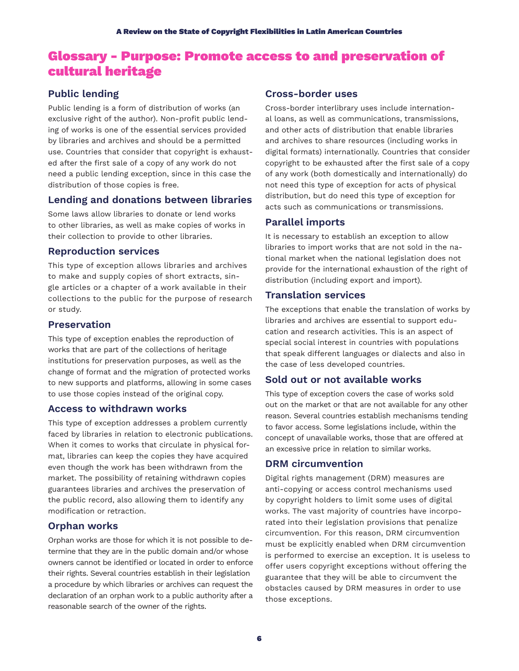# Glossary - Purpose: Promote access to and preservation of cultural heritage

# **Public lending**

Public lending is a form of distribution of works (an exclusive right of the author). Non-profit public lending of works is one of the essential services provided by libraries and archives and should be a permitted use. Countries that consider that copyright is exhausted after the first sale of a copy of any work do not need a public lending exception, since in this case the distribution of those copies is free.

# **Lending and donations between libraries**

Some laws allow libraries to donate or lend works to other libraries, as well as make copies of works in their collection to provide to other libraries.

## **Reproduction services**

This type of exception allows libraries and archives to make and supply copies of short extracts, single articles or a chapter of a work available in their collections to the public for the purpose of research or study.

## **Preservation**

This type of exception enables the reproduction of works that are part of the collections of heritage institutions for preservation purposes, as well as the change of format and the migration of protected works to new supports and platforms, allowing in some cases to use those copies instead of the original copy.

# **Access to withdrawn works**

This type of exception addresses a problem currently faced by libraries in relation to electronic publications. When it comes to works that circulate in physical format, libraries can keep the copies they have acquired even though the work has been withdrawn from the market. The possibility of retaining withdrawn copies guarantees libraries and archives the preservation of the public record, also allowing them to identify any modification or retraction.

# **Orphan works**

Orphan works are those for which it is not possible to determine that they are in the public domain and/or whose owners cannot be identified or located in order to enforce their rights. Several countries establish in their legislation a procedure by which libraries or archives can request the declaration of an orphan work to a public authority after a reasonable search of the owner of the rights.

# **Cross-border uses**

Cross-border interlibrary uses include international loans, as well as communications, transmissions, and other acts of distribution that enable libraries and archives to share resources (including works in digital formats) internationally. Countries that consider copyright to be exhausted after the first sale of a copy of any work (both domestically and internationally) do not need this type of exception for acts of physical distribution, but do need this type of exception for acts such as communications or transmissions.

# **Parallel imports**

It is necessary to establish an exception to allow libraries to import works that are not sold in the national market when the national legislation does not provide for the international exhaustion of the right of distribution (including export and import).

# **Translation services**

The exceptions that enable the translation of works by libraries and archives are essential to support education and research activities. This is an aspect of special social interest in countries with populations that speak different languages or dialects and also in the case of less developed countries.

# **Sold out or not available works**

This type of exception covers the case of works sold out on the market or that are not available for any other reason. Several countries establish mechanisms tending to favor access. Some legislations include, within the concept of unavailable works, those that are offered at an excessive price in relation to similar works.

# **DRM circumvention**

Digital rights management (DRM) measures are anti-copying or access control mechanisms used by copyright holders to limit some uses of digital works. The vast majority of countries have incorporated into their legislation provisions that penalize circumvention. For this reason, DRM circumvention must be explicitly enabled when DRM circumvention is performed to exercise an exception. It is useless to offer users copyright exceptions without offering the guarantee that they will be able to circumvent the obstacles caused by DRM measures in order to use those exceptions.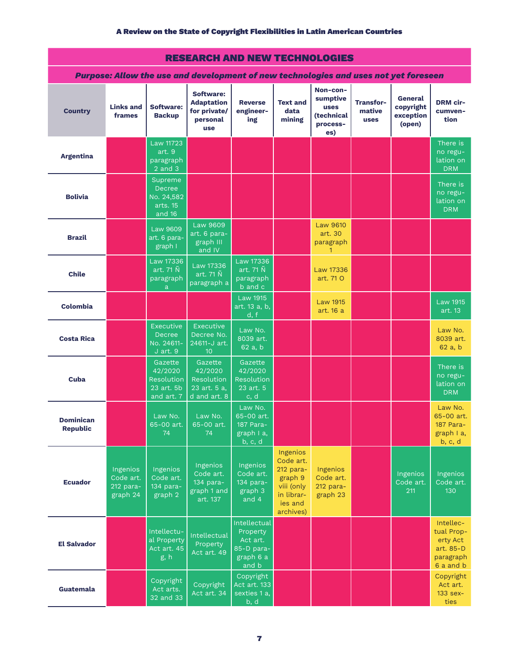| <b>RESEARCH AND NEW TECHNOLOGIES</b>                                                 |                                                |                                                                    |                                                                         |                                                                          |                                                                                                   |                                                                      |                                           |                                             |                                                                            |  |
|--------------------------------------------------------------------------------------|------------------------------------------------|--------------------------------------------------------------------|-------------------------------------------------------------------------|--------------------------------------------------------------------------|---------------------------------------------------------------------------------------------------|----------------------------------------------------------------------|-------------------------------------------|---------------------------------------------|----------------------------------------------------------------------------|--|
| Purpose: Allow the use and development of new technologies and uses not yet foreseen |                                                |                                                                    |                                                                         |                                                                          |                                                                                                   |                                                                      |                                           |                                             |                                                                            |  |
| <b>Country</b>                                                                       | <b>Links and</b><br>frames                     | <b>Software:</b><br><b>Backup</b>                                  | Software:<br><b>Adaptation</b><br>for private/<br>personal<br>use       | <b>Reverse</b><br>engineer-<br>ing                                       | <b>Text and</b><br>data<br>mining                                                                 | Non-con-<br>sumptive<br><b>uses</b><br>(technical<br>process-<br>es) | <b>Transfor-</b><br>mative<br><b>uses</b> | General<br>copyright<br>exception<br>(open) | <b>DRM</b> cir-<br>cumven-<br>tion                                         |  |
| <b>Argentina</b>                                                                     |                                                | <b>Law 11723</b><br>art. 9<br>paragraph<br>$2$ and $3$             |                                                                         |                                                                          |                                                                                                   |                                                                      |                                           |                                             | There is<br>no regu-<br>lation on<br><b>DRM</b>                            |  |
| <b>Bolivia</b>                                                                       |                                                | Supreme<br><b>Decree</b><br>No. 24,582<br>arts. 15<br>and 16       |                                                                         |                                                                          |                                                                                                   |                                                                      |                                           |                                             | There is<br>no regu-<br>lation on<br><b>DRM</b>                            |  |
| <b>Brazil</b>                                                                        |                                                | <b>Law 9609</b><br>art. 6 para-<br>graph I                         | Law 9609<br>art. 6 para-<br>graph III<br>and IV                         |                                                                          |                                                                                                   | Law 9610<br>art. 30<br>paragraph<br>1                                |                                           |                                             |                                                                            |  |
| <b>Chile</b>                                                                         |                                                | <b>Law 17336</b><br>art. 71 Ñ<br>paragraph<br>a                    | <b>Law 17336</b><br>art. $71 \tilde{N}$<br>paragraph a                  | Law 17336<br>art. $71 \tilde{N}$<br>paragraph<br>b and c                 |                                                                                                   | Law 17336<br>art. 71 O                                               |                                           |                                             |                                                                            |  |
| Colombia                                                                             |                                                |                                                                    |                                                                         | <b>Law 1915</b><br>art. 13 a, b,<br>d, f                                 |                                                                                                   | <b>Law 1915</b><br>art. 16 a                                         |                                           |                                             | <b>Law 1915</b><br>art. 13                                                 |  |
| <b>Costa Rica</b>                                                                    |                                                | <b>Executive</b><br><b>Decree</b><br>No. 24611-<br>$J$ art. $9$    | <b>Executive</b><br>Decree No.<br>24611-J art.<br>10                    | Law No.<br>8039 art.<br>62 a, b                                          |                                                                                                   |                                                                      |                                           |                                             | Law No.<br>8039 art.<br>62a, b                                             |  |
| Cuba                                                                                 |                                                | Gazette<br>42/2020<br>Resolution  <br>$23$ art. $5b$<br>and art. 7 | Gazette<br>42/2020<br><b>Resolution</b><br>23 art. 5 a,<br>d and art. 8 | Gazette<br>42/2020<br>Resolution<br>23 art. 5<br>$\overline{c}$ , d      |                                                                                                   |                                                                      |                                           |                                             | There is<br>no regu-<br>lation on<br><b>DRM</b>                            |  |
| <b>Dominican</b><br><b>Republic</b>                                                  |                                                | Law No.<br>65-00 art.<br>74                                        | Law No.<br>65-00 art.<br>74                                             | Law No.<br>65-00 art.<br>187 Para-<br>graph I a,<br>b, c, d              |                                                                                                   |                                                                      |                                           |                                             | Law No.<br>65-00 art.<br>187 Para-<br>graph I a,<br>b, c, d                |  |
| <b>Ecuador</b>                                                                       | Ingenios<br>Code art.<br>212 para-<br>graph 24 | Ingenios<br>Code art.<br>134 para-<br>graph 2                      | Ingenios<br>Code art.<br>$134$ para-<br>graph 1 and<br>art. 137         | Ingenios<br>Code art.<br>134 para-<br>graph 3<br>and 4                   | Ingenios<br>Code art.<br>212 para-<br>graph 9<br>viii (only<br>in librar-<br>ies and<br>archives) | Ingenios<br>Code art.<br>212 para-<br>graph 23                       |                                           | Ingenios<br>Code art.<br>211                | Ingenios<br>Code art.<br>130                                               |  |
| <b>El Salvador</b>                                                                   |                                                | Intellectu-<br>al Property<br>Act art. 45<br>g, h                  | Intellectual<br>Property<br>Act art. 49                                 | Intellectual<br>Property<br>Act art.<br>85-D para-<br>graph 6 a<br>and b |                                                                                                   |                                                                      |                                           |                                             | Intellec-<br>tual Prop-<br>erty Act<br>art. 85-D<br>paragraph<br>6 a and b |  |
| Guatemala                                                                            |                                                | Copyright<br>Act arts.<br>32 and 33                                | Copyright<br>Act art. 34                                                | Copyright<br>Act art. 133<br>sexties 1 a,<br>b, d                        |                                                                                                   |                                                                      |                                           |                                             | Copyright<br>Act art.<br>$133$ sex-<br>ties                                |  |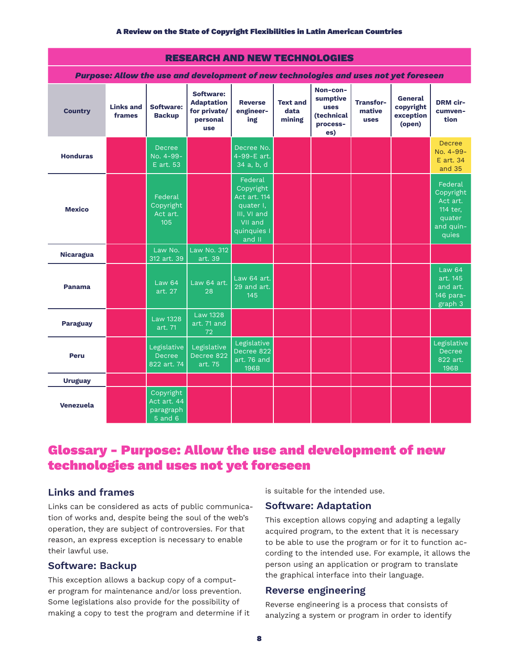| <b>RESEARCH AND NEW TECHNOLOGIES</b>                                                 |                            |                                                  |                                                                          |                                                                                                      |                                   |                                                                      |                                           |                                             |                                                                              |  |  |
|--------------------------------------------------------------------------------------|----------------------------|--------------------------------------------------|--------------------------------------------------------------------------|------------------------------------------------------------------------------------------------------|-----------------------------------|----------------------------------------------------------------------|-------------------------------------------|---------------------------------------------|------------------------------------------------------------------------------|--|--|
| Purpose: Allow the use and development of new technologies and uses not yet foreseen |                            |                                                  |                                                                          |                                                                                                      |                                   |                                                                      |                                           |                                             |                                                                              |  |  |
| <b>Country</b>                                                                       | <b>Links and</b><br>frames | <b>Software:</b><br><b>Backup</b>                | Software:<br><b>Adaptation</b><br>for private/<br>personal<br><b>use</b> | <b>Reverse</b><br>engineer-<br>ing                                                                   | <b>Text and</b><br>data<br>mining | Non-con-<br>sumptive<br><b>uses</b><br>(technical<br>process-<br>es) | <b>Transfor-</b><br>mative<br><b>uses</b> | General<br>copyright<br>exception<br>(open) | <b>DRM</b> cir-<br>cumven-<br>tion                                           |  |  |
| <b>Honduras</b>                                                                      |                            | <b>Decree</b><br>No. 4-99-<br>E art. 53          |                                                                          | Decree No.<br>4-99-E art.<br>34 a, b, d                                                              |                                   |                                                                      |                                           |                                             | Decree<br>No. 4-99-<br>E art. 34<br>and $35$                                 |  |  |
| <b>Mexico</b>                                                                        |                            | Federal<br>Copyright<br>Act art.<br>105          |                                                                          | Federal<br>Copyright<br>Act art. 114<br>quater I,<br>III, VI and<br>VII and<br>quinquies I<br>and II |                                   |                                                                      |                                           |                                             | Federal<br>Copyright<br>Act art.<br>114 ter.<br>quater<br>and quin-<br>quies |  |  |
| <b>Nicaragua</b>                                                                     |                            | Law No.<br>312 art. 39                           | Law No. 312<br>art. 39                                                   |                                                                                                      |                                   |                                                                      |                                           |                                             |                                                                              |  |  |
| Panama                                                                               |                            | Law <sub>64</sub><br>art. 27                     | Law 64 art.<br>28                                                        | Law 64 art.<br>29 and art.<br>145                                                                    |                                   |                                                                      |                                           |                                             | <b>Law 64</b><br>art. 145<br>and art.<br>146 para-<br>graph 3                |  |  |
| <b>Paraguay</b>                                                                      |                            | <b>Law 1328</b><br>art. 71                       | <b>Law 1328</b><br>art. 71 and<br>72                                     |                                                                                                      |                                   |                                                                      |                                           |                                             |                                                                              |  |  |
| Peru                                                                                 |                            | Legislative<br><b>Decree</b><br>822 art. 74      | Legislative<br>Decree 822<br>airt. 75                                    | Legislative<br>Decree 822<br>art. 76 and<br>196B                                                     |                                   |                                                                      |                                           |                                             | Legislative<br><b>Decree</b><br>822 art.<br>196B                             |  |  |
| <b>Uruguay</b>                                                                       |                            |                                                  |                                                                          |                                                                                                      |                                   |                                                                      |                                           |                                             |                                                                              |  |  |
| Venezuela                                                                            |                            | Copyright<br>Act art. 44<br>paragraph<br>5 and 6 |                                                                          |                                                                                                      |                                   |                                                                      |                                           |                                             |                                                                              |  |  |

# Glossary - Purpose: Allow the use and development of new technologies and uses not yet foreseen

# **Links and frames**

Links can be considered as acts of public communication of works and, despite being the soul of the web's operation, they are subject of controversies. For that reason, an express exception is necessary to enable their lawful use.

# **Software: Backup**

This exception allows a backup copy of a computer program for maintenance and/or loss prevention. Some legislations also provide for the possibility of making a copy to test the program and determine if it is suitable for the intended use.

# **Software: Adaptation**

This exception allows copying and adapting a legally acquired program, to the extent that it is necessary to be able to use the program or for it to function according to the intended use. For example, it allows the person using an application or program to translate the graphical interface into their language.

#### **Reverse engineering**

Reverse engineering is a process that consists of analyzing a system or program in order to identify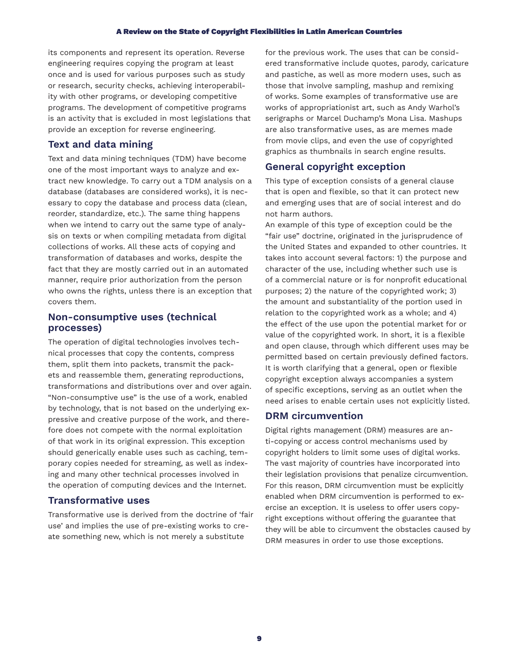its components and represent its operation. Reverse engineering requires copying the program at least once and is used for various purposes such as study or research, security checks, achieving interoperability with other programs, or developing competitive programs. The development of competitive programs is an activity that is excluded in most legislations that provide an exception for reverse engineering.

# **Text and data mining**

Text and data mining techniques (TDM) have become one of the most important ways to analyze and extract new knowledge. To carry out a TDM analysis on a database (databases are considered works), it is necessary to copy the database and process data (clean, reorder, standardize, etc.). The same thing happens when we intend to carry out the same type of analysis on texts or when compiling metadata from digital collections of works. All these acts of copying and transformation of databases and works, despite the fact that they are mostly carried out in an automated manner, require prior authorization from the person who owns the rights, unless there is an exception that covers them.

# **Non-consumptive uses (technical processes)**

The operation of digital technologies involves technical processes that copy the contents, compress them, split them into packets, transmit the packets and reassemble them, generating reproductions, transformations and distributions over and over again. "Non-consumptive use" is the use of a work, enabled by technology, that is not based on the underlying expressive and creative purpose of the work, and therefore does not compete with the normal exploitation of that work in its original expression. This exception should generically enable uses such as caching, temporary copies needed for streaming, as well as indexing and many other technical processes involved in the operation of computing devices and the Internet.

# **Transformative uses**

Transformative use is derived from the doctrine of 'fair use' and implies the use of pre-existing works to create something new, which is not merely a substitute

for the previous work. The uses that can be considered transformative include quotes, parody, caricature and pastiche, as well as more modern uses, such as those that involve sampling, mashup and remixing of works. Some examples of transformative use are works of appropriationist art, such as Andy Warhol's serigraphs or Marcel Duchamp's Mona Lisa. Mashups are also transformative uses, as are memes made from movie clips, and even the use of copyrighted graphics as thumbnails in search engine results.

# **General copyright exception**

This type of exception consists of a general clause that is open and flexible, so that it can protect new and emerging uses that are of social interest and do not harm authors.

An example of this type of exception could be the "fair use" doctrine, originated in the jurisprudence of the United States and expanded to other countries. It takes into account several factors: 1) the purpose and character of the use, including whether such use is of a commercial nature or is for nonprofit educational purposes; 2) the nature of the copyrighted work; 3) the amount and substantiality of the portion used in relation to the copyrighted work as a whole; and 4) the effect of the use upon the potential market for or value of the copyrighted work. In short, it is a flexible and open clause, through which different uses may be permitted based on certain previously defined factors. It is worth clarifying that a general, open or flexible copyright exception always accompanies a system of specific exceptions, serving as an outlet when the need arises to enable certain uses not explicitly listed.

## **DRM circumvention**

Digital rights management (DRM) measures are anti-copying or access control mechanisms used by copyright holders to limit some uses of digital works. The vast majority of countries have incorporated into their legislation provisions that penalize circumvention. For this reason, DRM circumvention must be explicitly enabled when DRM circumvention is performed to exercise an exception. It is useless to offer users copyright exceptions without offering the guarantee that they will be able to circumvent the obstacles caused by DRM measures in order to use those exceptions.